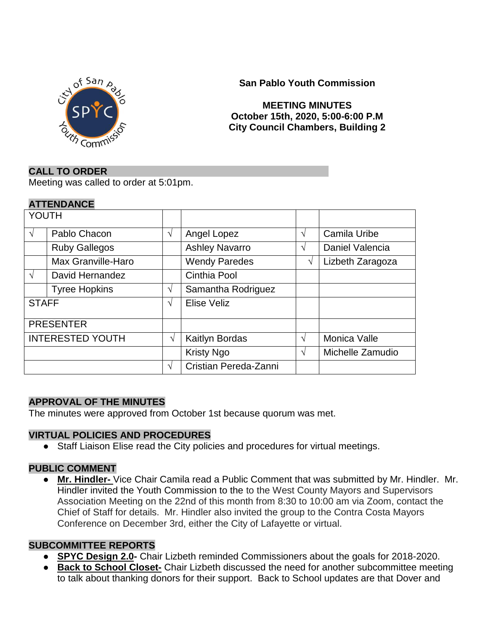

## **San Pablo Youth Commission**

### **MEETING MINUTES October 15th, 2020, 5:00-6:00 P.M City Council Chambers, Building 2**

### **CALL TO ORDER**

Meeting was called to order at 5:01pm.

### **ATTENDANCE**

| <b>YOUTH</b>            |                      |            |                       |               |                  |
|-------------------------|----------------------|------------|-----------------------|---------------|------------------|
| $\sqrt{ }$              | Pablo Chacon         | $\sqrt{ }$ | Angel Lopez           | $\sqrt{ }$    | Camila Uribe     |
|                         | <b>Ruby Gallegos</b> |            | <b>Ashley Navarro</b> | V             | Daniel Valencia  |
|                         | Max Granville-Haro   |            | <b>Wendy Paredes</b>  | V             | Lizbeth Zaragoza |
| $\sqrt{ }$              | David Hernandez      |            | <b>Cinthia Pool</b>   |               |                  |
|                         | <b>Tyree Hopkins</b> | N          | Samantha Rodriguez    |               |                  |
| <b>STAFF</b>            |                      | V          | Elise Veliz           |               |                  |
| <b>PRESENTER</b>        |                      |            |                       |               |                  |
| <b>INTERESTED YOUTH</b> |                      | V          | Kaitlyn Bordas        | $\mathcal{N}$ | Monica Valle     |
|                         |                      |            | <b>Kristy Ngo</b>     | $\mathcal{N}$ | Michelle Zamudio |
|                         |                      | اد         | Cristian Pereda-Zanni |               |                  |
|                         |                      |            |                       |               |                  |

### **APPROVAL OF THE MINUTES**

The minutes were approved from October 1st because quorum was met.

#### **VIRTUAL POLICIES AND PROCEDURES**

● Staff Liaison Elise read the City policies and procedures for virtual meetings.

#### **PUBLIC COMMENT**

● **Mr. Hindler-** Vice Chair Camila read a Public Comment that was submitted by Mr. Hindler. Mr. Hindler invited the Youth Commission to the to the West County Mayors and Supervisors Association Meeting on the 22nd of this month from 8:30 to 10:00 am via Zoom, contact the Chief of Staff for details. Mr. Hindler also invited the group to the Contra Costa Mayors Conference on December 3rd, either the City of Lafayette or virtual.

#### **SUBCOMMITTEE REPORTS**

- **SPYC Design 2.0-** Chair Lizbeth reminded Commissioners about the goals for 2018-2020.
- **Back to School Closet-** Chair Lizbeth discussed the need for another subcommittee meeting to talk about thanking donors for their support. Back to School updates are that Dover and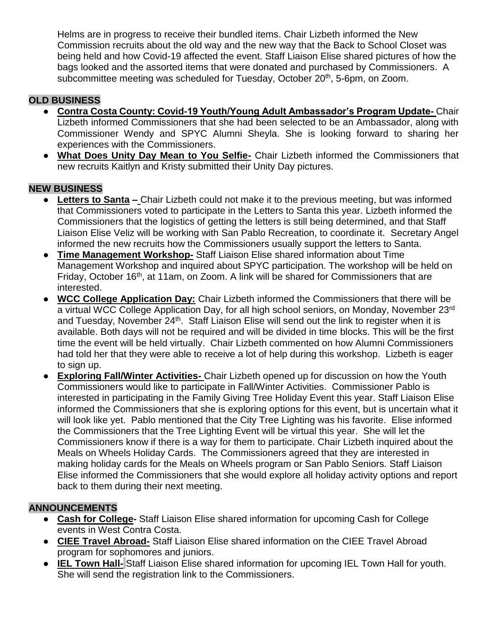Helms are in progress to receive their bundled items. Chair Lizbeth informed the New Commission recruits about the old way and the new way that the Back to School Closet was being held and how Covid-19 affected the event. Staff Liaison Elise shared pictures of how the bags looked and the assorted items that were donated and purchased by Commissioners. A subcommittee meeting was scheduled for Tuesday, October 20<sup>th</sup>, 5-6pm, on Zoom.

# **OLD BUSINESS**

- **Contra Costa County: Covid-19 Youth/Young Adult Ambassador's Program Update-** Chair Lizbeth informed Commissioners that she had been selected to be an Ambassador, along with Commissioner Wendy and SPYC Alumni Sheyla. She is looking forward to sharing her experiences with the Commissioners.
- **What Does Unity Day Mean to You Selfie-** Chair Lizbeth informed the Commissioners that new recruits Kaitlyn and Kristy submitted their Unity Day pictures.

# **NEW BUSINESS**

- **Letters to Santa –** Chair Lizbeth could not make it to the previous meeting, but was informed that Commissioners voted to participate in the Letters to Santa this year. Lizbeth informed the Commissioners that the logistics of getting the letters is still being determined, and that Staff Liaison Elise Veliz will be working with San Pablo Recreation, to coordinate it. Secretary Angel informed the new recruits how the Commissioners usually support the letters to Santa.
- **Time Management Workshop-** Staff Liaison Elise shared information about Time Management Workshop and inquired about SPYC participation. The workshop will be held on Friday, October 16<sup>th</sup>, at 11am, on Zoom. A link will be shared for Commissioners that are interested.
- **WCC College Application Day:** Chair Lizbeth informed the Commissioners that there will be a virtual WCC College Application Day, for all high school seniors, on Monday, November 23rd and Tuesday, November 24<sup>th</sup>. Staff Liaison Elise will send out the link to register when it is available. Both days will not be required and will be divided in time blocks. This will be the first time the event will be held virtually. Chair Lizbeth commented on how Alumni Commissioners had told her that they were able to receive a lot of help during this workshop. Lizbeth is eager to sign up.
- **Exploring Fall/Winter Activities-** Chair Lizbeth opened up for discussion on how the Youth Commissioners would like to participate in Fall/Winter Activities. Commissioner Pablo is interested in participating in the Family Giving Tree Holiday Event this year. Staff Liaison Elise informed the Commissioners that she is exploring options for this event, but is uncertain what it will look like yet. Pablo mentioned that the City Tree Lighting was his favorite. Elise informed the Commissioners that the Tree Lighting Event will be virtual this year. She will let the Commissioners know if there is a way for them to participate. Chair Lizbeth inquired about the Meals on Wheels Holiday Cards. The Commissioners agreed that they are interested in making holiday cards for the Meals on Wheels program or San Pablo Seniors. Staff Liaison Elise informed the Commissioners that she would explore all holiday activity options and report back to them during their next meeting.

# **ANNOUNCEMENTS**

- **Cash for College-** Staff Liaison Elise shared information for upcoming Cash for College events in West Contra Costa.
- **CIEE Travel Abroad-** Staff Liaison Elise shared information on the CIEE Travel Abroad program for sophomores and juniors.
- **IEL Town Hall-** Staff Liaison Elise shared information for upcoming IEL Town Hall for youth. She will send the registration link to the Commissioners.